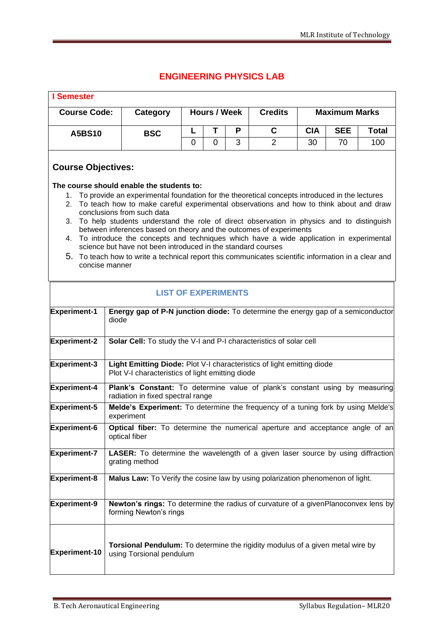## **ENGINEERING PHYSICS LAB**

| <b>I</b> Semester                                                   |                                                                                                              |                                                                                                                                                                                                                                                                                                                                                                                                                                                                                                                                                                                                                                                                                                       |                     |   |   |                |                      |            |              |  |
|---------------------------------------------------------------------|--------------------------------------------------------------------------------------------------------------|-------------------------------------------------------------------------------------------------------------------------------------------------------------------------------------------------------------------------------------------------------------------------------------------------------------------------------------------------------------------------------------------------------------------------------------------------------------------------------------------------------------------------------------------------------------------------------------------------------------------------------------------------------------------------------------------------------|---------------------|---|---|----------------|----------------------|------------|--------------|--|
| <b>Course Code:</b>                                                 |                                                                                                              | <b>Category</b>                                                                                                                                                                                                                                                                                                                                                                                                                                                                                                                                                                                                                                                                                       | <b>Hours / Week</b> |   |   | <b>Credits</b> | <b>Maximum Marks</b> |            |              |  |
| <b>A5BS10</b>                                                       |                                                                                                              | <b>BSC</b>                                                                                                                                                                                                                                                                                                                                                                                                                                                                                                                                                                                                                                                                                            | L                   | Τ | P | C              | <b>CIA</b>           | <b>SEE</b> | <b>Total</b> |  |
|                                                                     |                                                                                                              |                                                                                                                                                                                                                                                                                                                                                                                                                                                                                                                                                                                                                                                                                                       | $\overline{0}$      | 0 | 3 | $\overline{2}$ | 30                   | 70         | 100          |  |
| <b>Course Objectives:</b><br>1.<br>2.<br>3.<br>4.<br>concise manner |                                                                                                              | The course should enable the students to:<br>To provide an experimental foundation for the theoretical concepts introduced in the lectures<br>To teach how to make careful experimental observations and how to think about and draw<br>conclusions from such data<br>To help students understand the role of direct observation in physics and to distinguish<br>between inferences based on theory and the outcomes of experiments<br>To introduce the concepts and techniques which have a wide application in experimental<br>science but have not been introduced in the standard courses<br>5. To teach how to write a technical report this communicates scientific information in a clear and |                     |   |   |                |                      |            |              |  |
|                                                                     |                                                                                                              |                                                                                                                                                                                                                                                                                                                                                                                                                                                                                                                                                                                                                                                                                                       |                     |   |   |                |                      |            |              |  |
| <b>Experiment-1</b>                                                 | diode                                                                                                        | <b>LIST OF EXPERIMENTS</b><br>Energy gap of P-N junction diode: To determine the energy gap of a semiconductor                                                                                                                                                                                                                                                                                                                                                                                                                                                                                                                                                                                        |                     |   |   |                |                      |            |              |  |
| <b>Experiment-2</b>                                                 |                                                                                                              | Solar Cell: To study the V-I and P-I characteristics of solar cell                                                                                                                                                                                                                                                                                                                                                                                                                                                                                                                                                                                                                                    |                     |   |   |                |                      |            |              |  |
| <b>Experiment-3</b>                                                 |                                                                                                              | Light Emitting Diode: Plot V-I characteristics of light emitting diode<br>Plot V-I characteristics of light emitting diode                                                                                                                                                                                                                                                                                                                                                                                                                                                                                                                                                                            |                     |   |   |                |                      |            |              |  |
| <b>Experiment-4</b>                                                 |                                                                                                              | Plank's Constant: To determine value of plank's constant using by measuring<br>radiation in fixed spectral range                                                                                                                                                                                                                                                                                                                                                                                                                                                                                                                                                                                      |                     |   |   |                |                      |            |              |  |
| Experiment-5                                                        |                                                                                                              | Melde's Experiment: To determine the frequency of a tuning fork by using Melde's<br>experiment                                                                                                                                                                                                                                                                                                                                                                                                                                                                                                                                                                                                        |                     |   |   |                |                      |            |              |  |
| <b>Experiment-6</b>                                                 | Optical fiber: To determine the numerical aperture and acceptance angle of an<br>optical fiber               |                                                                                                                                                                                                                                                                                                                                                                                                                                                                                                                                                                                                                                                                                                       |                     |   |   |                |                      |            |              |  |
| <b>Experiment-7</b>                                                 |                                                                                                              | LASER: To determine the wavelength of a given laser source by using diffraction<br>grating method                                                                                                                                                                                                                                                                                                                                                                                                                                                                                                                                                                                                     |                     |   |   |                |                      |            |              |  |
| <b>Experiment-8</b>                                                 |                                                                                                              | Malus Law: To Verify the cosine law by using polarization phenomenon of light.                                                                                                                                                                                                                                                                                                                                                                                                                                                                                                                                                                                                                        |                     |   |   |                |                      |            |              |  |
| Experiment-9                                                        | Newton's rings: To determine the radius of curvature of a givenPlanoconvex lens by<br>forming Newton's rings |                                                                                                                                                                                                                                                                                                                                                                                                                                                                                                                                                                                                                                                                                                       |                     |   |   |                |                      |            |              |  |
| <b>Experiment-10</b>                                                |                                                                                                              | <b>Torsional Pendulum:</b> To determine the rigidity modulus of a given metal wire by<br>using Torsional pendulum                                                                                                                                                                                                                                                                                                                                                                                                                                                                                                                                                                                     |                     |   |   |                |                      |            |              |  |